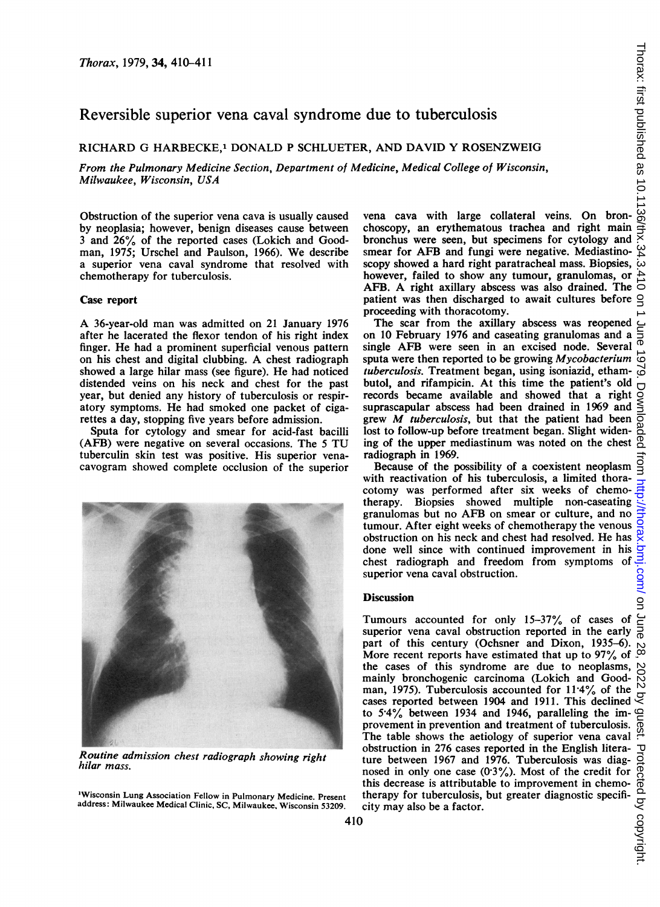## Reversible superior vena caval syndrome due to tuberculosis

RICHARD G HARBECKE,' DONALD P SCHLUETER, AND DAVID Y ROSENZWEIG

From the Pulmonary Medicine Section, Department of Medicine, Medical College of Wisconsin, Milwaukee, Wisconsin, USA

Obstruction of the superior vena cava is usually caused by neoplasia; however, benign diseases cause between <sup>3</sup> and 26% of the reported cases (Lokich and Goodman, 1975; Urschel and Paulson, 1966). We describe a superior vena caval syndrome that resolved with chemotherapy for tuberculosis.

## Case report

A 36-year-old man was admitted on <sup>21</sup> January <sup>1976</sup> after he lacerated the flexor tendon of his right index finger. He had a prominent superficial venous pattern on his chest and digital clubbing. A chest radiograph showed a large hilar mass (see figure). He had noticed distended veins on his neck and chest for the past year, but denied any history of tuberculosis or respiratory symptoms. He had smoked one packet of cigarettes a day, stopping five years before admission.

Sputa for cytology and smear for acid-fast bacilli (AFB) were negative on several occasions. The <sup>5</sup> TU tuberculin skin test was positive. His superior venacavogram showed complete occlusion of the superior



Routine admission chest radiograph showing right hilar mass.

'Wisconsin Lung Association Fellow in Pulmonary Medicine. Present address: Milwaukee Medical Clinic, SC, Milwaukee, Wisconsin 53209. vena cava with large collateral veins. On bronchoscopy, an erythematous trachea and right main bronchus were seen, but specimens for cytology and smear for AFB and fungi were negative. Mediastinoscopy showed a hard right paratracheal mass. Biopsies, however, failed to show any tumour, granulomas, or AFB. A right axillary abscess was also drained. The  $\overline{\circ}$ patient was then discharged to await cultures before  $\subseteq$ proceeding with thoracotomy.

The scar from the axillary abscess was reopened  $\subset$ on 10 February 1976 and caseating granulomas and a single AFB were seen in an excised node. Several sputa were then reported to be growing Mycobacterium tuberculosis. Treatment began, using isoniazid, ethambutol, and rifampicin. At this time the patient's old records became available and showed that a right suprascapular abscess had been drained in 1969 and grew M tuberculosis, but that the patient had been lost to follow-up before treatment began. Slight widening of the upper mediastinum was noted on the chest radiograph in 1969.

Because of the possibility of a coexistent neoplasm with reactivation of his tuberculosis, a limited thoracotomy was performed after six weeks of chemotherapy. Biopsies showed multiple non-caseating granulomas but no AFB on smear or culture, and no tumour. After eight weeks of chemotherapy the venous obstruction on his neck and chest had resolved. He has done well since with continued improvement in his chest radiograph and freedom from symptoms of superior vena caval obstruction.

## **Discussion**

Tumours accounted for only 15-37% of cases of superior vena caval obstruction reported in the early part of this century (Ochsner and Dixon, 1935-6). More recent reports have estimated that up to 97% of the cases of this syndrome are due to neoplasms, mainly bronchogenic carcinoma (Lokich and Goodman, 1975). Tuberculosis accounted for 11-4% of the cases reported between 1904 and 1911. This declined  $\gtrsim$ to 5-4% between 1934 and 1946, paralleling the improvement in prevention and treatment of tuberculosis. The table shows the aetiology of superior vena caval obstruction in 276 cases reported in the English literature between 1967 and 1976. Tuberculosis was diagnosed in only one case  $(0.3\%)$ . Most of the credit for this decrease is attributable to improvement in chemotherapy for tuberculosis, but greater diagnostic specificity may also be a factor.